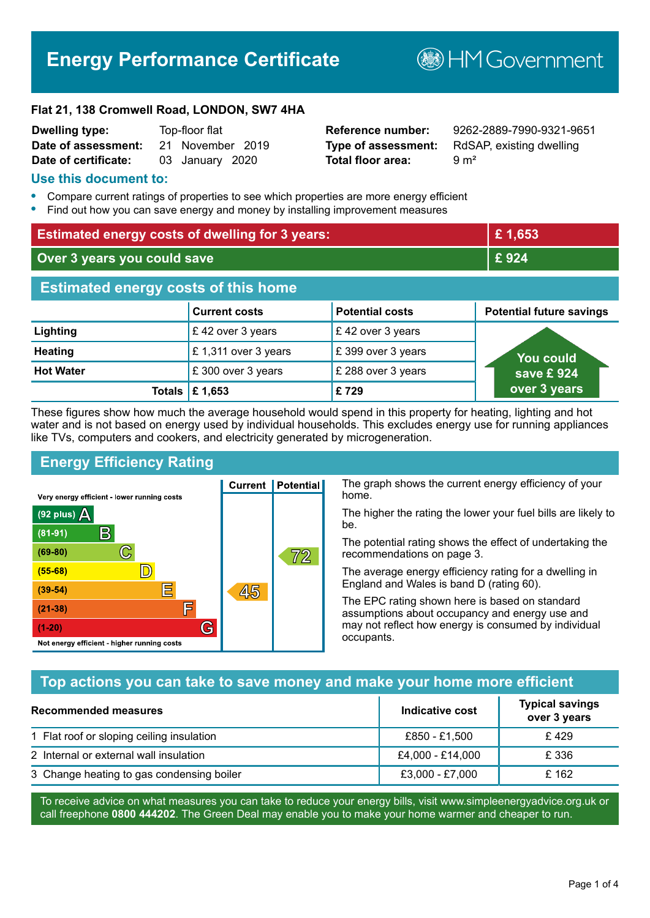# **Energy Performance Certificate**

**B**HM Government

#### **Flat 21, 138 Cromwell Road, LONDON, SW7 4HA**

| <b>Dwelling type:</b> | Top-floor flat |                  |  |
|-----------------------|----------------|------------------|--|
| Date of assessment:   |                | 21 November 2019 |  |
| Date of certificate:  |                | 03 January 2020  |  |

# **Total floor area:** 9 m<sup>2</sup>

**Reference number:** 9262-2889-7990-9321-9651 **Type of assessment:** RdSAP, existing dwelling

#### **Use this document to:**

- **•** Compare current ratings of properties to see which properties are more energy efficient
- **•** Find out how you can save energy and money by installing improvement measures

| <b>Estimated energy costs of dwelling for 3 years:</b> |                           |                        | £1,653                          |
|--------------------------------------------------------|---------------------------|------------------------|---------------------------------|
| Over 3 years you could save                            |                           |                        | £924                            |
| <b>Estimated energy costs of this home</b>             |                           |                        |                                 |
|                                                        | <b>Current costs</b>      | <b>Potential costs</b> | <b>Potential future savings</b> |
| Lighting                                               | £42 over 3 years          | £42 over 3 years       |                                 |
| <b>Heating</b>                                         | £1,311 over 3 years       | £399 over 3 years      | You could                       |
| <b>Hot Water</b>                                       | £ 300 over 3 years        | £ 288 over 3 years     | save £924                       |
|                                                        | Totals $\mathsf{E}$ 1,653 | £729                   | over 3 years                    |

These figures show how much the average household would spend in this property for heating, lighting and hot water and is not based on energy used by individual households. This excludes energy use for running appliances like TVs, computers and cookers, and electricity generated by microgeneration.

**Current | Potential** 

45

# **Energy Efficiency Rating**

 $\mathbb{C}$ 

 $\mathbb{D}$ 

E

庐

G

Very energy efficient - lower running costs

R

Not energy efficient - higher running costs

 $(92$  plus)

 $(81 - 91)$ 

 $(69 - 80)$ 

 $(55-68)$ 

 $(39 - 54)$ 

 $(21-38)$ 

 $(1-20)$ 

- 78

The graph shows the current energy efficiency of your home.

The higher the rating the lower your fuel bills are likely to be.

The potential rating shows the effect of undertaking the recommendations on page 3.

The average energy efficiency rating for a dwelling in England and Wales is band D (rating 60).

The EPC rating shown here is based on standard assumptions about occupancy and energy use and may not reflect how energy is consumed by individual occupants.

# **Top actions you can take to save money and make your home more efficient**

 $\overline{72}$ 

| <b>Recommended measures</b>               | Indicative cost  | <b>Typical savings</b><br>over 3 years |
|-------------------------------------------|------------------|----------------------------------------|
| 1 Flat roof or sloping ceiling insulation | £850 - £1,500    | £429                                   |
| 2 Internal or external wall insulation    | £4,000 - £14,000 | £ 336                                  |
| 3 Change heating to gas condensing boiler | £3,000 - £7,000  | £162                                   |

To receive advice on what measures you can take to reduce your energy bills, visit www.simpleenergyadvice.org.uk or call freephone **0800 444202**. The Green Deal may enable you to make your home warmer and cheaper to run.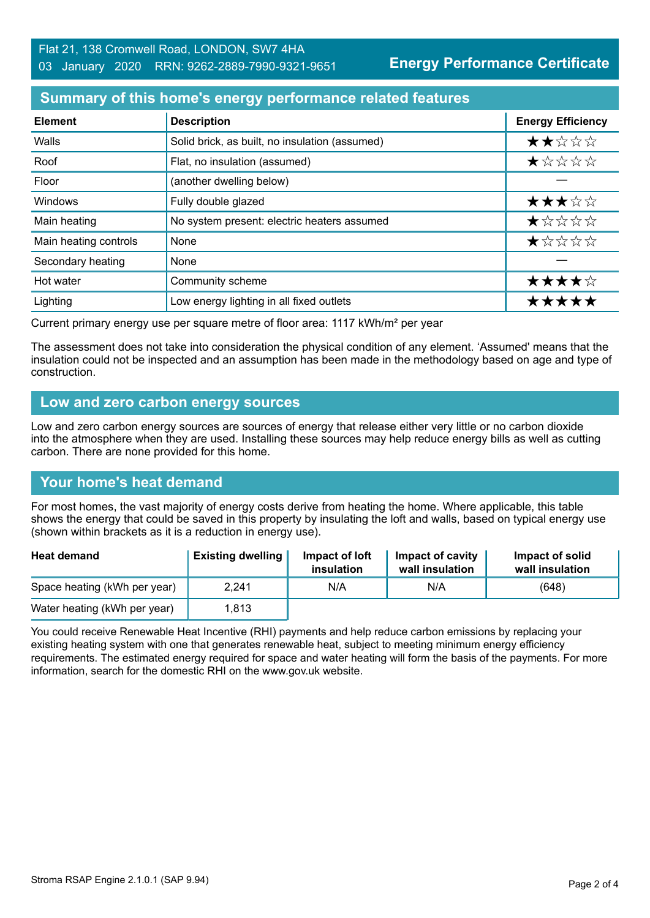**Energy Performance Certificate**

# **Summary of this home's energy performance related features**

| <b>Element</b>        | <b>Description</b>                             | <b>Energy Efficiency</b> |
|-----------------------|------------------------------------------------|--------------------------|
| Walls                 | Solid brick, as built, no insulation (assumed) | ★★☆☆☆                    |
| Roof                  | Flat, no insulation (assumed)                  | *****                    |
| Floor                 | (another dwelling below)                       |                          |
| <b>Windows</b>        | Fully double glazed                            | ★★★☆☆                    |
| Main heating          | No system present: electric heaters assumed    | *****                    |
| Main heating controls | None                                           | *****                    |
| Secondary heating     | None                                           |                          |
| Hot water             | Community scheme                               | ★★★★☆                    |
| Lighting              | Low energy lighting in all fixed outlets       | *****                    |

Current primary energy use per square metre of floor area: 1117 kWh/m² per year

The assessment does not take into consideration the physical condition of any element. 'Assumed' means that the insulation could not be inspected and an assumption has been made in the methodology based on age and type of construction.

#### **Low and zero carbon energy sources**

Low and zero carbon energy sources are sources of energy that release either very little or no carbon dioxide into the atmosphere when they are used. Installing these sources may help reduce energy bills as well as cutting carbon. There are none provided for this home.

# **Your home's heat demand**

For most homes, the vast majority of energy costs derive from heating the home. Where applicable, this table shows the energy that could be saved in this property by insulating the loft and walls, based on typical energy use (shown within brackets as it is a reduction in energy use).

| <b>Heat demand</b>           | <b>Existing dwelling</b> | Impact of loft<br>insulation | Impact of cavity<br>wall insulation | Impact of solid<br>wall insulation |
|------------------------------|--------------------------|------------------------------|-------------------------------------|------------------------------------|
| Space heating (kWh per year) | 2,241                    | N/A                          | N/A                                 | (648)                              |
| Water heating (kWh per year) | 1.813                    |                              |                                     |                                    |

You could receive Renewable Heat Incentive (RHI) payments and help reduce carbon emissions by replacing your existing heating system with one that generates renewable heat, subject to meeting minimum energy efficiency requirements. The estimated energy required for space and water heating will form the basis of the payments. For more information, search for the domestic RHI on the www.gov.uk website.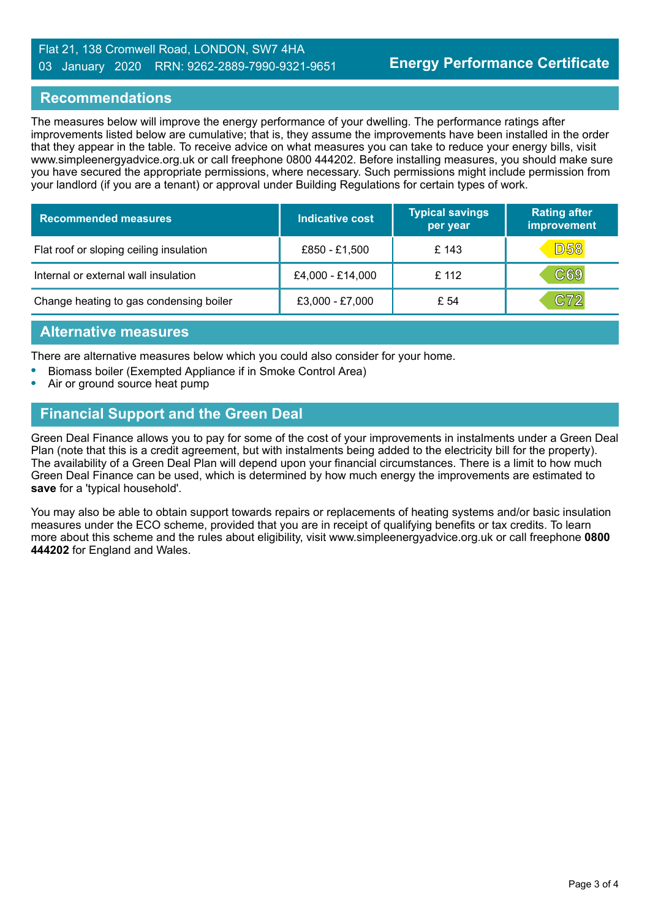#### Flat 21, 138 Cromwell Road, LONDON, SW7 4HA 03 January 2020 RRN: 9262-2889-7990-9321-9651

#### **Recommendations**

The measures below will improve the energy performance of your dwelling. The performance ratings after improvements listed below are cumulative; that is, they assume the improvements have been installed in the order that they appear in the table. To receive advice on what measures you can take to reduce your energy bills, visit www.simpleenergyadvice.org.uk or call freephone 0800 444202. Before installing measures, you should make sure you have secured the appropriate permissions, where necessary. Such permissions might include permission from your landlord (if you are a tenant) or approval under Building Regulations for certain types of work.

| <b>Recommended measures</b>             | Indicative cost  | <b>Typical savings</b><br>per year | <b>Rating after</b><br>improvement |
|-----------------------------------------|------------------|------------------------------------|------------------------------------|
| Flat roof or sloping ceiling insulation | £850 - £1,500    | £143                               | <b>D58</b>                         |
| Internal or external wall insulation    | £4,000 - £14,000 | £ 112                              | C69                                |
| Change heating to gas condensing boiler | £3,000 - £7,000  | £ 54                               | C72                                |

#### **Alternative measures**

There are alternative measures below which you could also consider for your home.

- **•** Biomass boiler (Exempted Appliance if in Smoke Control Area)
- **•** Air or ground source heat pump

# **Financial Support and the Green Deal**

Green Deal Finance allows you to pay for some of the cost of your improvements in instalments under a Green Deal Plan (note that this is a credit agreement, but with instalments being added to the electricity bill for the property). The availability of a Green Deal Plan will depend upon your financial circumstances. There is a limit to how much Green Deal Finance can be used, which is determined by how much energy the improvements are estimated to **save** for a 'typical household'.

You may also be able to obtain support towards repairs or replacements of heating systems and/or basic insulation measures under the ECO scheme, provided that you are in receipt of qualifying benefits or tax credits. To learn more about this scheme and the rules about eligibility, visit www.simpleenergyadvice.org.uk or call freephone **0800 444202** for England and Wales.